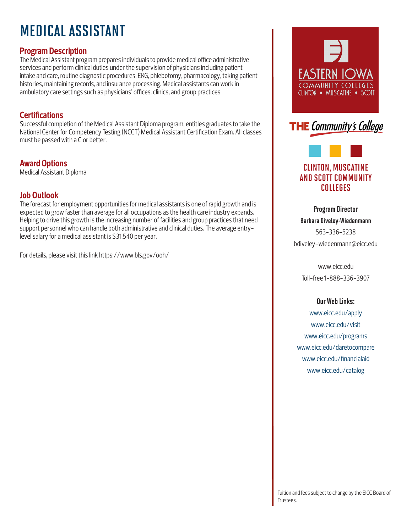# MEDICAL ASSISTANT

## **Program Description**

The Medical Assistant program prepares individuals to provide medical office administrative services and perform clinical duties under the supervision of physicians including patient intake and care, routine diagnostic procedures, EKG, phlebotomy, pharmacology, taking patient histories, maintaining records, and insurance processing. Medical assistants can work in ambulatory care settings such as physicians' offices, clinics, and group practices

### **Certifications**

Successful completion of the Medical Assistant Diploma program, entitles graduates to take the National Center for Competency Testing (NCCT) Medical Assistant Certification Exam. All classes must be passed with a C or better.

# **Award Options**

Medical Assistant Diploma

## **Job Outlook**

The forecast for employment opportunities for medical assistants is one of rapid growth and is expected to grow faster than average for all occupations as the health care industry expands. Helping to drive this growth is the increasing number of facilities and group practices that need support personnel who can handle both administrative and clinical duties. The average entrylevel salary for a medical assistant is \$31,540 per year.

For details, please visit this link https://www.bls.gov/ooh/





# CLINTON, MUSCATINE AND SCOTT COMMUNITY COLLEGES

Program Director Barbara Diveley-Wiedenmann 563-336-5238 bdiveley-wiedenmann@eicc.edu

www.eicc.edu Toll-free 1-888-336-3907

#### Our Web Links:

www.eicc.edu/apply www.eicc.edu/visit www.eicc.edu/programs www.eicc.edu/daretocompare www.eicc.edu/financialaid www.eicc.edu/catalog

Tuition and fees subject to change by the EICC Board of Trustees.